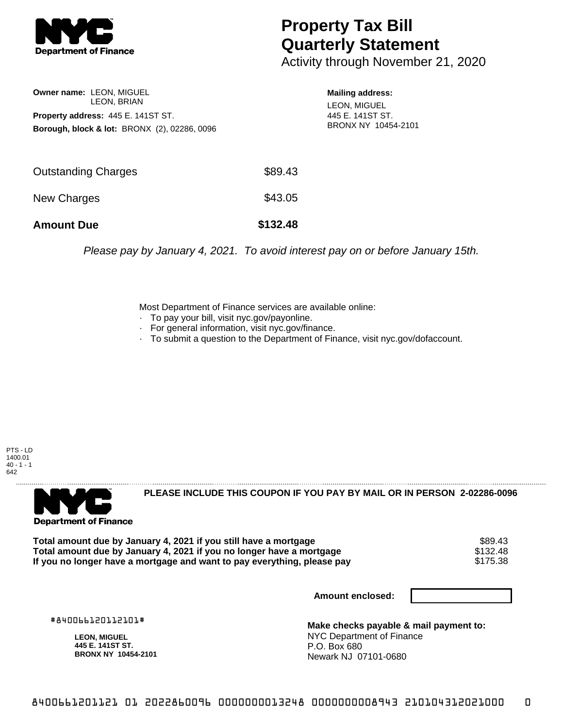

## **Property Tax Bill Quarterly Statement**

Activity through November 21, 2020

| Owner name: LEON, MIGUEL                  |                                                         |  |  |  |
|-------------------------------------------|---------------------------------------------------------|--|--|--|
| LEON, BRIAN                               |                                                         |  |  |  |
| <b>Property address: 445 E. 141ST ST.</b> |                                                         |  |  |  |
|                                           | <b>Borough, block &amp; lot: BRONX (2), 02286, 0096</b> |  |  |  |

**Mailing address:** LEON, MIGUEL 445 E. 141ST ST. BRONX NY 10454-2101

| <b>Amount Due</b>   | \$132.48 |
|---------------------|----------|
| New Charges         | \$43.05  |
| Outstanding Charges | \$89.43  |

Please pay by January 4, 2021. To avoid interest pay on or before January 15th.

Most Department of Finance services are available online:

- · To pay your bill, visit nyc.gov/payonline.
- For general information, visit nyc.gov/finance.
- · To submit a question to the Department of Finance, visit nyc.gov/dofaccount.





**PLEASE INCLUDE THIS COUPON IF YOU PAY BY MAIL OR IN PERSON 2-02286-0096** 

**Total amount due by January 4, 2021 if you still have a mortgage** \$89.43 **Total amount due by January 4, 2021 if you no longer have a mortgage** \$132.48 If you no longer have a mortgage and want to pay everything, please pay

**Amount enclosed:**

#840066120112101#

**LEON, MIGUEL 445 E. 141ST ST. BRONX NY 10454-2101**

**Make checks payable & mail payment to:** NYC Department of Finance P.O. Box 680 Newark NJ 07101-0680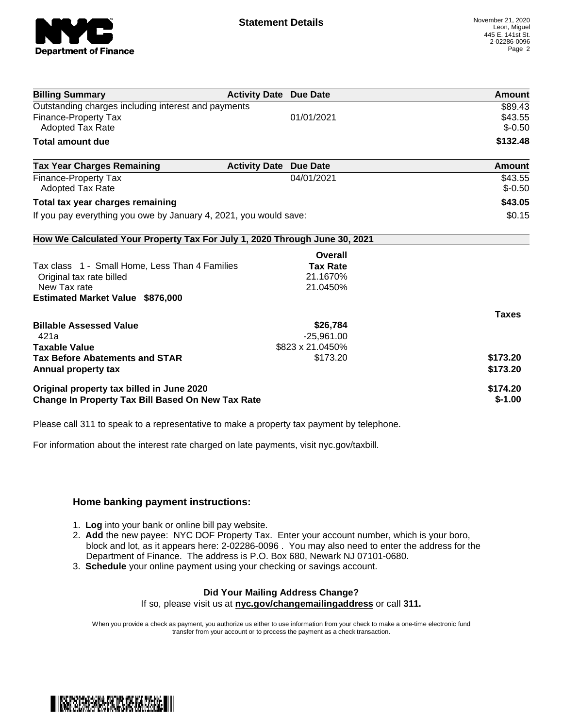

| <b>Billing Summary</b>                                                     | <b>Activity Date Due Date</b> |                  | <b>Amount</b> |
|----------------------------------------------------------------------------|-------------------------------|------------------|---------------|
| Outstanding charges including interest and payments                        | \$89.43                       |                  |               |
| <b>Finance-Property Tax</b>                                                |                               | 01/01/2021       | \$43.55       |
| Adopted Tax Rate                                                           |                               |                  | $$-0.50$      |
| <b>Total amount due</b>                                                    |                               |                  | \$132.48      |
| <b>Tax Year Charges Remaining</b>                                          | <b>Activity Date</b>          | <b>Due Date</b>  | Amount        |
| Finance-Property Tax                                                       |                               | 04/01/2021       | \$43.55       |
| <b>Adopted Tax Rate</b>                                                    |                               |                  | $$-0.50$      |
| Total tax year charges remaining                                           | \$43.05                       |                  |               |
| If you pay everything you owe by January 4, 2021, you would save:          | \$0.15                        |                  |               |
| How We Calculated Your Property Tax For July 1, 2020 Through June 30, 2021 |                               |                  |               |
|                                                                            |                               | Overall          |               |
| Tax class 1 - Small Home, Less Than 4 Families                             |                               | <b>Tax Rate</b>  |               |
| Original tax rate billed                                                   |                               | 21.1670%         |               |
| New Tax rate                                                               |                               | 21.0450%         |               |
| <b>Estimated Market Value \$876,000</b>                                    |                               |                  |               |
|                                                                            |                               |                  | <b>Taxes</b>  |
| <b>Billable Assessed Value</b>                                             |                               | \$26,784         |               |
| 421a                                                                       |                               | $-25,961.00$     |               |
| <b>Taxable Value</b>                                                       |                               | \$823 x 21.0450% |               |
| <b>Tax Before Abatements and STAR</b>                                      |                               | \$173.20         | \$173.20      |
| Annual property tax                                                        |                               |                  | \$173.20      |
| Original property tax billed in June 2020                                  |                               |                  | \$174.20      |
| <b>Change In Property Tax Bill Based On New Tax Rate</b>                   | $$-1.00$                      |                  |               |

Please call 311 to speak to a representative to make a property tax payment by telephone.

For information about the interest rate charged on late payments, visit nyc.gov/taxbill.

## **Home banking payment instructions:**

- 1. **Log** into your bank or online bill pay website.
- 2. **Add** the new payee: NYC DOF Property Tax. Enter your account number, which is your boro, block and lot, as it appears here: 2-02286-0096 . You may also need to enter the address for the Department of Finance. The address is P.O. Box 680, Newark NJ 07101-0680.
- 3. **Schedule** your online payment using your checking or savings account.

## **Did Your Mailing Address Change?**

If so, please visit us at **nyc.gov/changemailingaddress** or call **311.**

When you provide a check as payment, you authorize us either to use information from your check to make a one-time electronic fund transfer from your account or to process the payment as a check transaction.